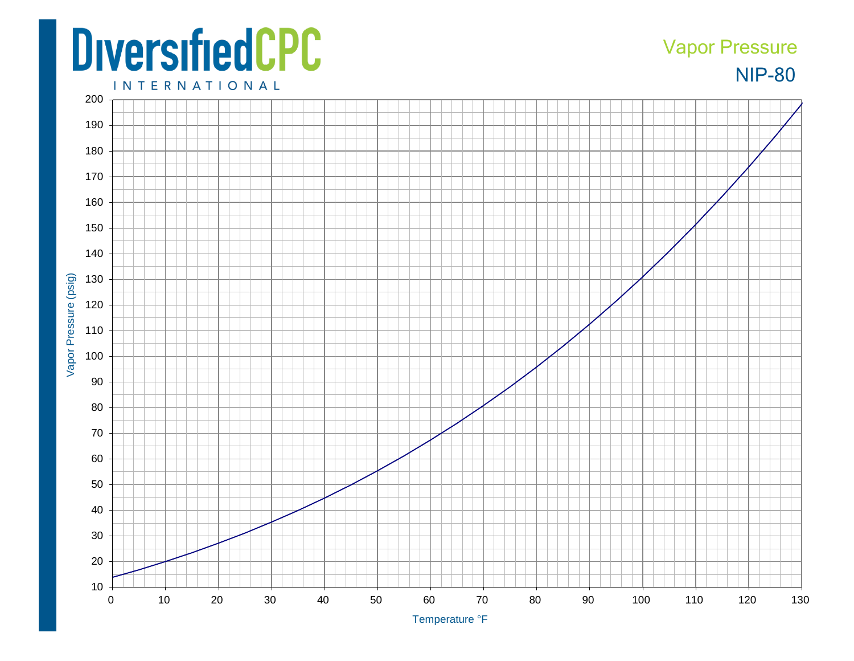## **DiversifiedCPC**

## **NIP-80** Vapor Pressure

**INTERNATIONAL**